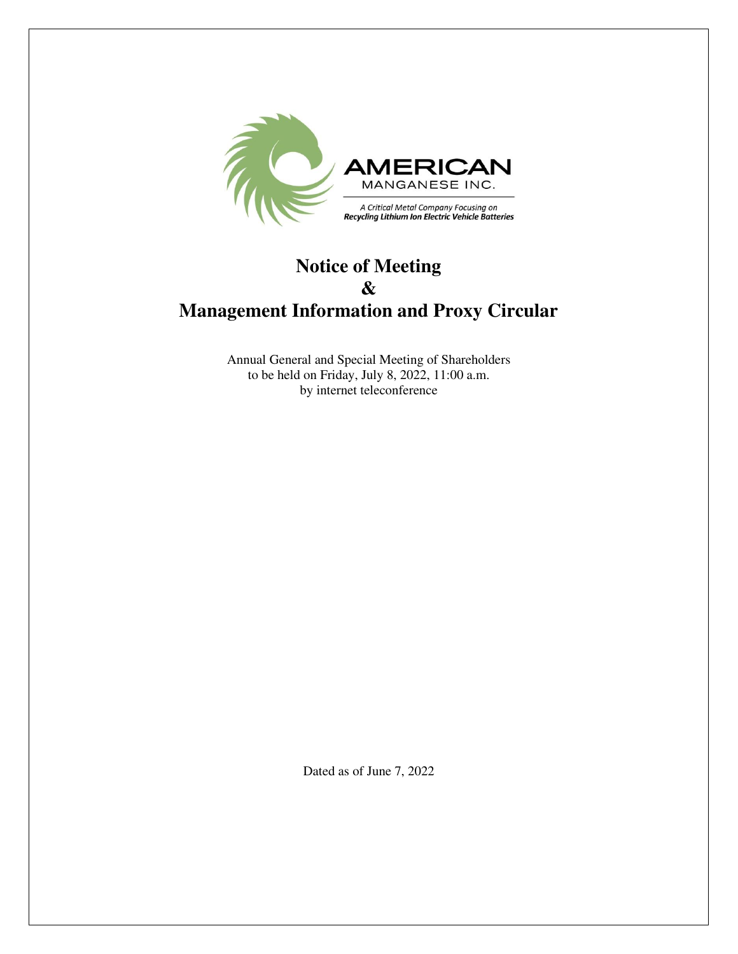

# **Notice of Meeting & Management Information and Proxy Circular**

Annual General and Special Meeting of Shareholders to be held on Friday, July 8, 2022, 11:00 a.m. by internet teleconference

Dated as of June 7, 2022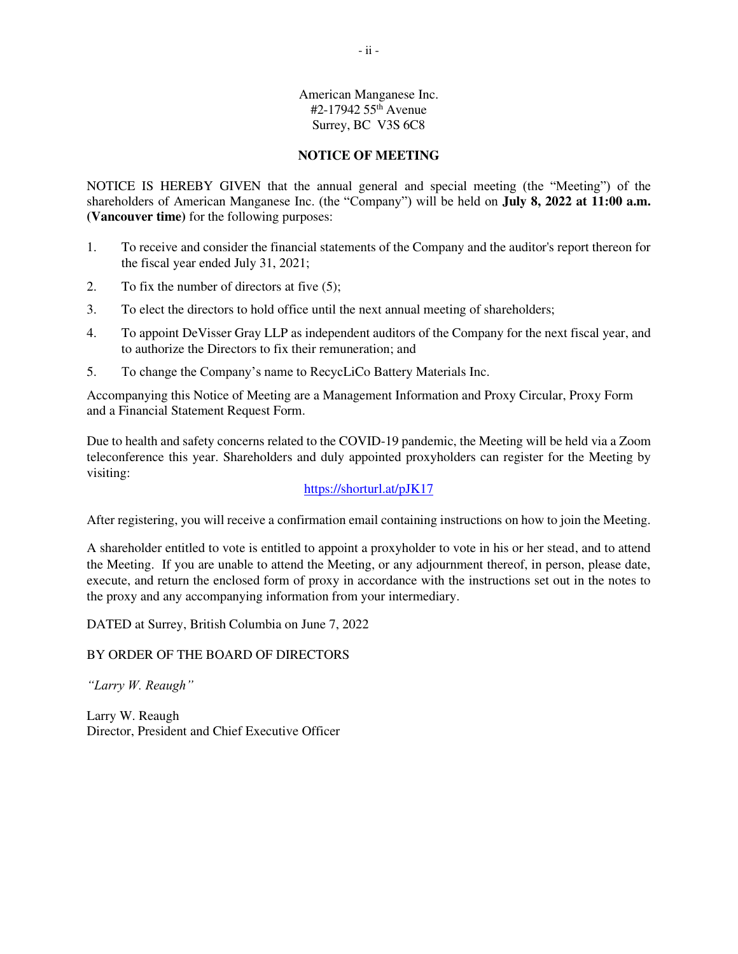# American Manganese Inc. #2-17942 55th Avenue Surrey, BC V3S 6C8

# **NOTICE OF MEETING**

NOTICE IS HEREBY GIVEN that the annual general and special meeting (the "Meeting") of the shareholders of American Manganese Inc. (the "Company") will be held on **July 8, 2022 at 11:00 a.m. (Vancouver time)** for the following purposes:

- 1. To receive and consider the financial statements of the Company and the auditor's report thereon for the fiscal year ended July 31, 2021;
- 2. To fix the number of directors at five (5);
- 3. To elect the directors to hold office until the next annual meeting of shareholders;
- 4. To appoint DeVisser Gray LLP as independent auditors of the Company for the next fiscal year, and to authorize the Directors to fix their remuneration; and
- 5. To change the Company's name to RecycLiCo Battery Materials Inc.

Accompanying this Notice of Meeting are a Management Information and Proxy Circular, Proxy Form and a Financial Statement Request Form.

Due to health and safety concerns related to the COVID-19 pandemic, the Meeting will be held via a Zoom teleconference this year. Shareholders and duly appointed proxyholders can register for the Meeting by visiting:

# <https://shorturl.at/pJK17>

After registering, you will receive a confirmation email containing instructions on how to join the Meeting.

A shareholder entitled to vote is entitled to appoint a proxyholder to vote in his or her stead, and to attend the Meeting. If you are unable to attend the Meeting, or any adjournment thereof, in person, please date, execute, and return the enclosed form of proxy in accordance with the instructions set out in the notes to the proxy and any accompanying information from your intermediary.

DATED at Surrey, British Columbia on June 7, 2022

# BY ORDER OF THE BOARD OF DIRECTORS

*"Larry W. Reaugh"*

Larry W. Reaugh Director, President and Chief Executive Officer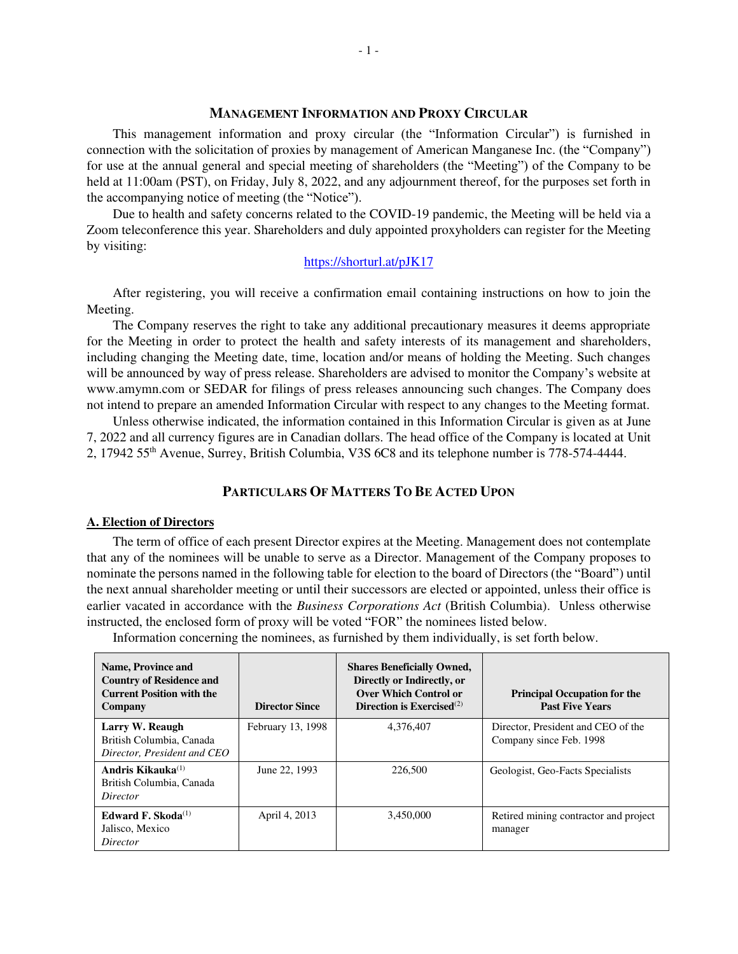# **MANAGEMENT INFORMATION AND PROXY CIRCULAR**

This management information and proxy circular (the "Information Circular") is furnished in connection with the solicitation of proxies by management of American Manganese Inc. (the "Company") for use at the annual general and special meeting of shareholders (the "Meeting") of the Company to be held at 11:00am (PST), on Friday, July 8, 2022, and any adjournment thereof, for the purposes set forth in the accompanying notice of meeting (the "Notice").

Due to health and safety concerns related to the COVID-19 pandemic, the Meeting will be held via a Zoom teleconference this year. Shareholders and duly appointed proxyholders can register for the Meeting by visiting:

#### <https://shorturl.at/pJK17>

After registering, you will receive a confirmation email containing instructions on how to join the Meeting.

The Company reserves the right to take any additional precautionary measures it deems appropriate for the Meeting in order to protect the health and safety interests of its management and shareholders, including changing the Meeting date, time, location and/or means of holding the Meeting. Such changes will be announced by way of press release. Shareholders are advised to monitor the Company's website at www.amymn.com or SEDAR for filings of press releases announcing such changes. The Company does not intend to prepare an amended Information Circular with respect to any changes to the Meeting format.

Unless otherwise indicated, the information contained in this Information Circular is given as at June 7, 2022 and all currency figures are in Canadian dollars. The head office of the Company is located at Unit 2, 17942 55th Avenue, Surrey, British Columbia, V3S 6C8 and its telephone number is 778-574-4444.

# **PARTICULARS OF MATTERS TO BE ACTED UPON**

### **A. Election of Directors**

The term of office of each present Director expires at the Meeting. Management does not contemplate that any of the nominees will be unable to serve as a Director. Management of the Company proposes to nominate the persons named in the following table for election to the board of Directors (the "Board") until the next annual shareholder meeting or until their successors are elected or appointed, unless their office is earlier vacated in accordance with the *Business Corporations Act* (British Columbia). Unless otherwise instructed, the enclosed form of proxy will be voted "FOR" the nominees listed below.

Information concerning the nominees, as furnished by them individually, is set forth below.

| <b>Name, Province and</b><br><b>Country of Residence and</b><br><b>Current Position with the</b><br>Company | <b>Director Since</b> | <b>Shares Beneficially Owned,</b><br>Directly or Indirectly, or<br><b>Over Which Control or</b><br>Direction is Exercised <sup>(2)</sup> | <b>Principal Occupation for the</b><br><b>Past Five Years</b> |
|-------------------------------------------------------------------------------------------------------------|-----------------------|------------------------------------------------------------------------------------------------------------------------------------------|---------------------------------------------------------------|
| Larry W. Reaugh<br>British Columbia, Canada<br>Director, President and CEO                                  | February 13, 1998     | 4,376,407                                                                                                                                | Director, President and CEO of the<br>Company since Feb. 1998 |
| Andris Kikauka $^{(1)}$<br>British Columbia, Canada<br>Director                                             | June 22, 1993         | 226,500                                                                                                                                  | Geologist, Geo-Facts Specialists                              |
| Edward F. Skoda $^{(1)}$<br>Jalisco, Mexico<br>Director                                                     | April 4, 2013         | 3,450,000                                                                                                                                | Retired mining contractor and project<br>manager              |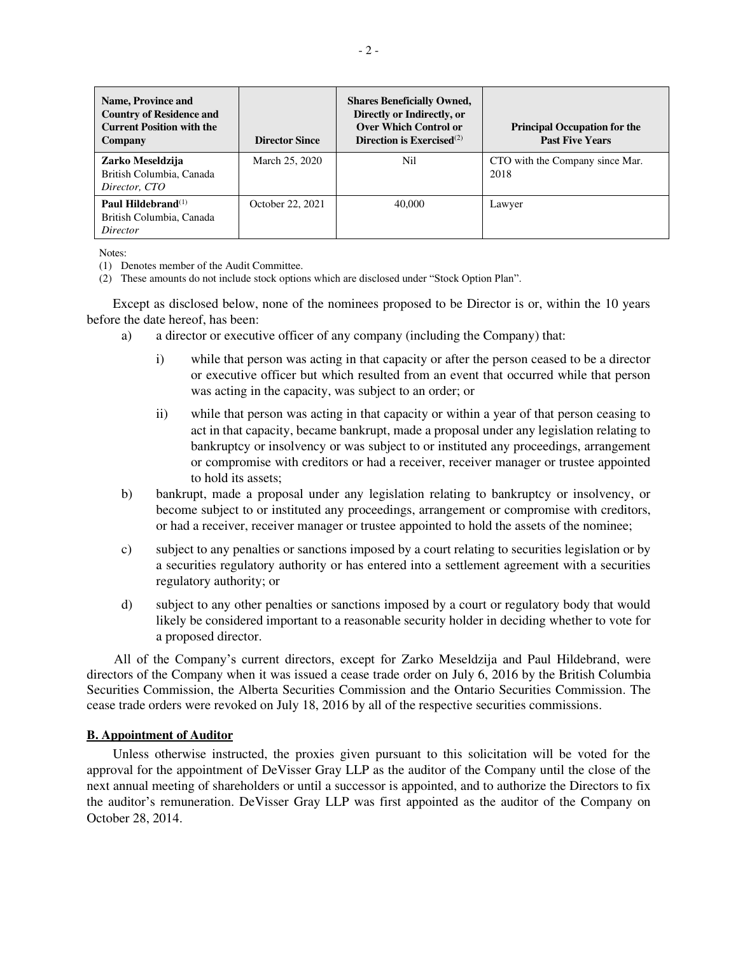| <b>Name, Province and</b><br><b>Country of Residence and</b><br><b>Current Position with the</b><br>Company | <b>Director Since</b> | <b>Shares Beneficially Owned,</b><br>Directly or Indirectly, or<br><b>Over Which Control or</b><br>Direction is Exercised $^{(2)}$ | <b>Principal Occupation for the</b><br><b>Past Five Years</b> |
|-------------------------------------------------------------------------------------------------------------|-----------------------|------------------------------------------------------------------------------------------------------------------------------------|---------------------------------------------------------------|
| Zarko Meseldzija<br>British Columbia, Canada<br>Director, CTO                                               | March 25, 2020        | Nil                                                                                                                                | CTO with the Company since Mar.<br>2018                       |
| Paul Hildebrand $^{(1)}$<br>British Columbia, Canada<br><i>Director</i>                                     | October 22, 2021      | 40,000                                                                                                                             | Lawyer                                                        |

Notes:

(1) Denotes member of the Audit Committee.

(2) These amounts do not include stock options which are disclosed under "Stock Option Plan".

Except as disclosed below, none of the nominees proposed to be Director is or, within the 10 years before the date hereof, has been:

- a) a director or executive officer of any company (including the Company) that:
	- i) while that person was acting in that capacity or after the person ceased to be a director or executive officer but which resulted from an event that occurred while that person was acting in the capacity, was subject to an order; or
	- ii) while that person was acting in that capacity or within a year of that person ceasing to act in that capacity, became bankrupt, made a proposal under any legislation relating to bankruptcy or insolvency or was subject to or instituted any proceedings, arrangement or compromise with creditors or had a receiver, receiver manager or trustee appointed to hold its assets;
- b) bankrupt, made a proposal under any legislation relating to bankruptcy or insolvency, or become subject to or instituted any proceedings, arrangement or compromise with creditors, or had a receiver, receiver manager or trustee appointed to hold the assets of the nominee;
- c) subject to any penalties or sanctions imposed by a court relating to securities legislation or by a securities regulatory authority or has entered into a settlement agreement with a securities regulatory authority; or
- d) subject to any other penalties or sanctions imposed by a court or regulatory body that would likely be considered important to a reasonable security holder in deciding whether to vote for a proposed director.

All of the Company's current directors, except for Zarko Meseldzija and Paul Hildebrand, were directors of the Company when it was issued a cease trade order on July 6, 2016 by the British Columbia Securities Commission, the Alberta Securities Commission and the Ontario Securities Commission. The cease trade orders were revoked on July 18, 2016 by all of the respective securities commissions.

# **B. Appointment of Auditor**

Unless otherwise instructed, the proxies given pursuant to this solicitation will be voted for the approval for the appointment of DeVisser Gray LLP as the auditor of the Company until the close of the next annual meeting of shareholders or until a successor is appointed, and to authorize the Directors to fix the auditor's remuneration. DeVisser Gray LLP was first appointed as the auditor of the Company on October 28, 2014.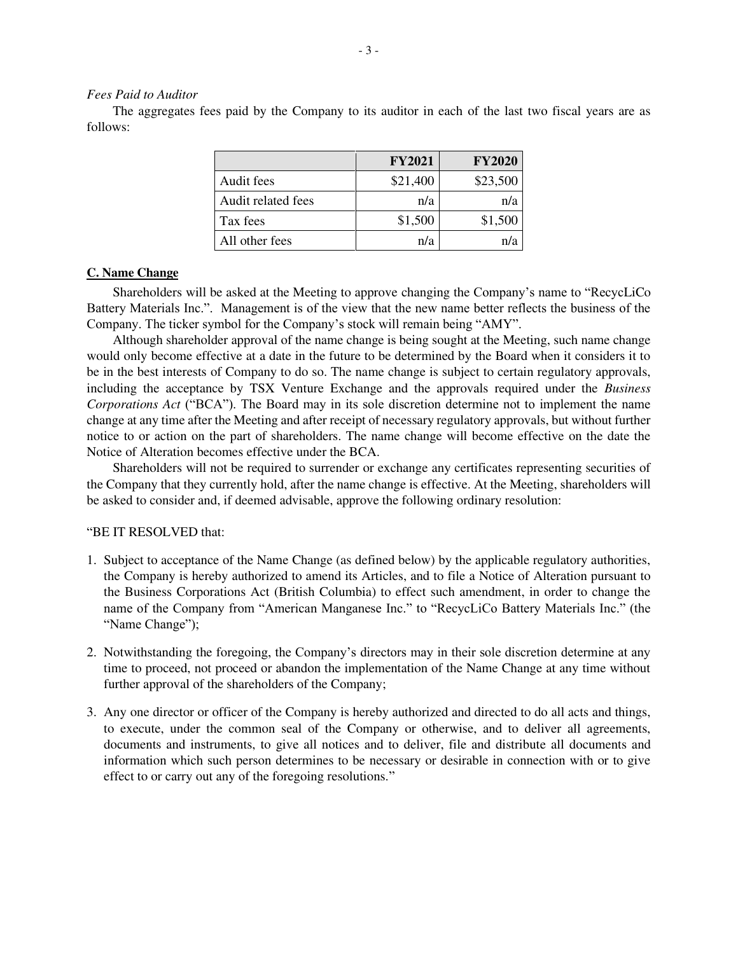### *Fees Paid to Auditor*

The aggregates fees paid by the Company to its auditor in each of the last two fiscal years are as follows:

|                    | <b>FY2021</b> | <b>FY2020</b> |
|--------------------|---------------|---------------|
| Audit fees         | \$21,400      | \$23,500      |
| Audit related fees | n/a           | n/a           |
| Tax fees           | \$1,500       | \$1,500       |
| All other fees     | n/a           |               |

# **C. Name Change**

Shareholders will be asked at the Meeting to approve changing the Company's name to "RecycLiCo Battery Materials Inc.". Management is of the view that the new name better reflects the business of the Company. The ticker symbol for the Company's stock will remain being "AMY".

Although shareholder approval of the name change is being sought at the Meeting, such name change would only become effective at a date in the future to be determined by the Board when it considers it to be in the best interests of Company to do so. The name change is subject to certain regulatory approvals, including the acceptance by TSX Venture Exchange and the approvals required under the *Business Corporations Act* ("BCA"). The Board may in its sole discretion determine not to implement the name change at any time after the Meeting and after receipt of necessary regulatory approvals, but without further notice to or action on the part of shareholders. The name change will become effective on the date the Notice of Alteration becomes effective under the BCA.

Shareholders will not be required to surrender or exchange any certificates representing securities of the Company that they currently hold, after the name change is effective. At the Meeting, shareholders will be asked to consider and, if deemed advisable, approve the following ordinary resolution:

# "BE IT RESOLVED that:

- 1. Subject to acceptance of the Name Change (as defined below) by the applicable regulatory authorities, the Company is hereby authorized to amend its Articles, and to file a Notice of Alteration pursuant to the Business Corporations Act (British Columbia) to effect such amendment, in order to change the name of the Company from "American Manganese Inc." to "RecycLiCo Battery Materials Inc." (the "Name Change");
- 2. Notwithstanding the foregoing, the Company's directors may in their sole discretion determine at any time to proceed, not proceed or abandon the implementation of the Name Change at any time without further approval of the shareholders of the Company;
- 3. Any one director or officer of the Company is hereby authorized and directed to do all acts and things, to execute, under the common seal of the Company or otherwise, and to deliver all agreements, documents and instruments, to give all notices and to deliver, file and distribute all documents and information which such person determines to be necessary or desirable in connection with or to give effect to or carry out any of the foregoing resolutions."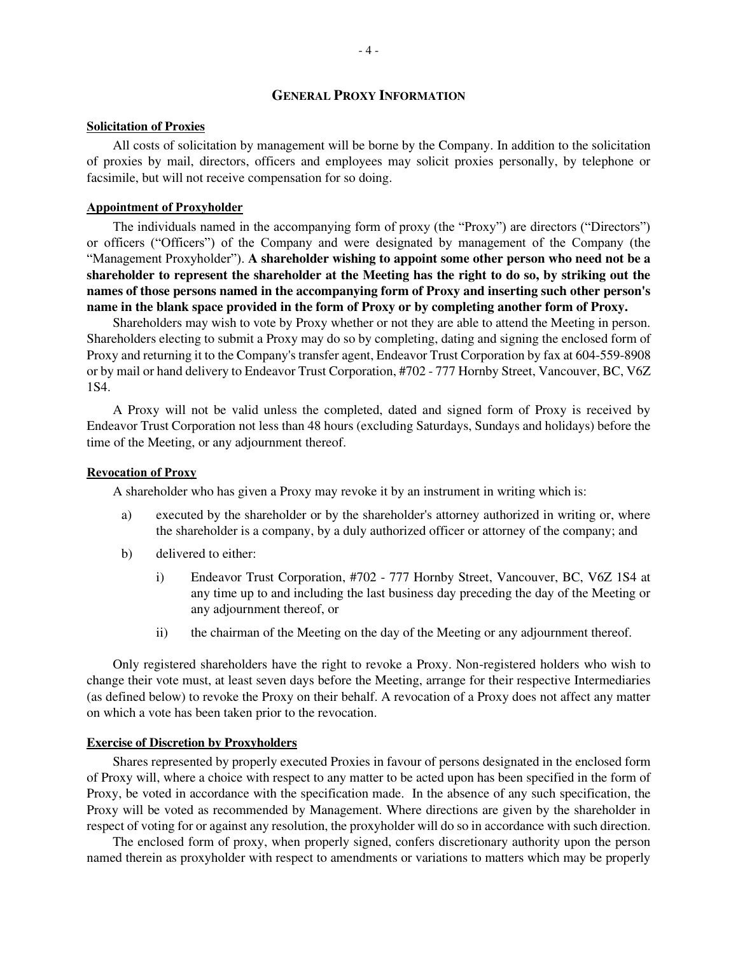# **GENERAL PROXY INFORMATION**

#### **Solicitation of Proxies**

All costs of solicitation by management will be borne by the Company. In addition to the solicitation of proxies by mail, directors, officers and employees may solicit proxies personally, by telephone or facsimile, but will not receive compensation for so doing.

#### **Appointment of Proxyholder**

The individuals named in the accompanying form of proxy (the "Proxy") are directors ("Directors") or officers ("Officers") of the Company and were designated by management of the Company (the "Management Proxyholder"). **A shareholder wishing to appoint some other person who need not be a shareholder to represent the shareholder at the Meeting has the right to do so, by striking out the names of those persons named in the accompanying form of Proxy and inserting such other person's name in the blank space provided in the form of Proxy or by completing another form of Proxy.**

Shareholders may wish to vote by Proxy whether or not they are able to attend the Meeting in person. Shareholders electing to submit a Proxy may do so by completing, dating and signing the enclosed form of Proxy and returning it to the Company's transfer agent, Endeavor Trust Corporation by fax at 604-559-8908 or by mail or hand delivery to Endeavor Trust Corporation, #702 - 777 Hornby Street, Vancouver, BC, V6Z 1S4.

A Proxy will not be valid unless the completed, dated and signed form of Proxy is received by Endeavor Trust Corporation not less than 48 hours (excluding Saturdays, Sundays and holidays) before the time of the Meeting, or any adjournment thereof.

### **Revocation of Proxy**

A shareholder who has given a Proxy may revoke it by an instrument in writing which is:

- a) executed by the shareholder or by the shareholder's attorney authorized in writing or, where the shareholder is a company, by a duly authorized officer or attorney of the company; and
- b) delivered to either:
	- i) Endeavor Trust Corporation, #702 777 Hornby Street, Vancouver, BC, V6Z 1S4 at any time up to and including the last business day preceding the day of the Meeting or any adjournment thereof, or
	- ii) the chairman of the Meeting on the day of the Meeting or any adjournment thereof.

Only registered shareholders have the right to revoke a Proxy. Non-registered holders who wish to change their vote must, at least seven days before the Meeting, arrange for their respective Intermediaries (as defined below) to revoke the Proxy on their behalf. A revocation of a Proxy does not affect any matter on which a vote has been taken prior to the revocation.

# **Exercise of Discretion by Proxyholders**

Shares represented by properly executed Proxies in favour of persons designated in the enclosed form of Proxy will, where a choice with respect to any matter to be acted upon has been specified in the form of Proxy, be voted in accordance with the specification made. In the absence of any such specification, the Proxy will be voted as recommended by Management. Where directions are given by the shareholder in respect of voting for or against any resolution, the proxyholder will do so in accordance with such direction.

The enclosed form of proxy, when properly signed, confers discretionary authority upon the person named therein as proxyholder with respect to amendments or variations to matters which may be properly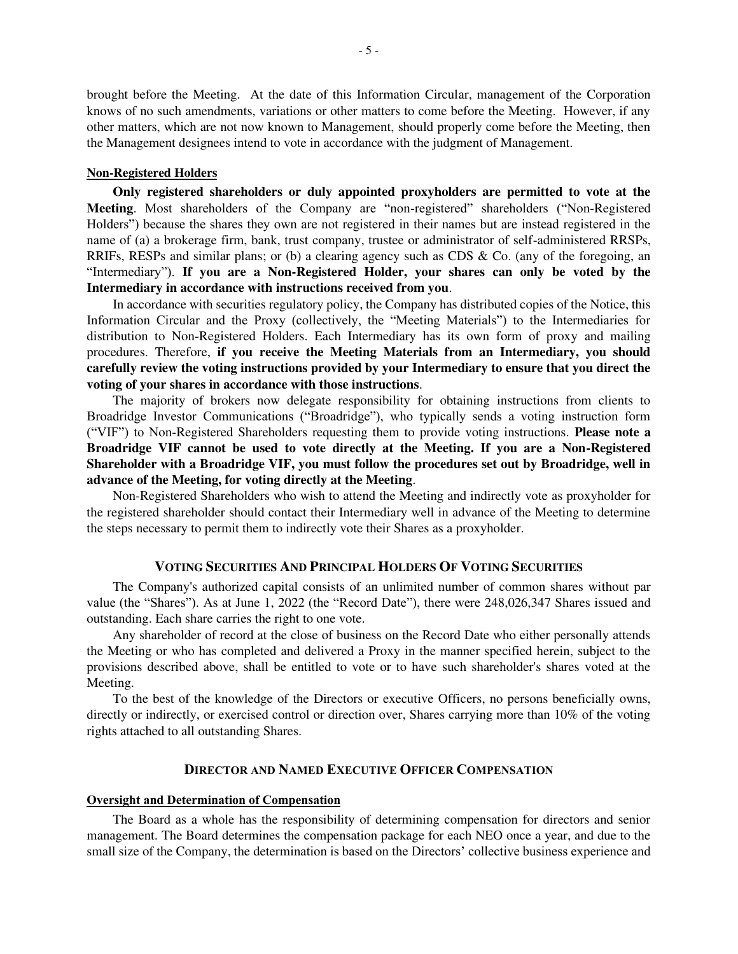brought before the Meeting. At the date of this Information Circular, management of the Corporation knows of no such amendments, variations or other matters to come before the Meeting. However, if any other matters, which are not now known to Management, should properly come before the Meeting, then the Management designees intend to vote in accordance with the judgment of Management.

### **Non-Registered Holders**

**Only registered shareholders or duly appointed proxyholders are permitted to vote at the Meeting**. Most shareholders of the Company are "non-registered" shareholders ("Non-Registered Holders") because the shares they own are not registered in their names but are instead registered in the name of (a) a brokerage firm, bank, trust company, trustee or administrator of self-administered RRSPs, RRIFs, RESPs and similar plans; or (b) a clearing agency such as CDS & Co. (any of the foregoing, an "Intermediary"). **If you are a Non-Registered Holder, your shares can only be voted by the Intermediary in accordance with instructions received from you**.

In accordance with securities regulatory policy, the Company has distributed copies of the Notice, this Information Circular and the Proxy (collectively, the "Meeting Materials") to the Intermediaries for distribution to Non-Registered Holders. Each Intermediary has its own form of proxy and mailing procedures. Therefore, **if you receive the Meeting Materials from an Intermediary, you should carefully review the voting instructions provided by your Intermediary to ensure that you direct the voting of your shares in accordance with those instructions**.

The majority of brokers now delegate responsibility for obtaining instructions from clients to Broadridge Investor Communications ("Broadridge"), who typically sends a voting instruction form ("VIF") to Non-Registered Shareholders requesting them to provide voting instructions. **Please note a Broadridge VIF cannot be used to vote directly at the Meeting. If you are a Non-Registered Shareholder with a Broadridge VIF, you must follow the procedures set out by Broadridge, well in advance of the Meeting, for voting directly at the Meeting**.

Non-Registered Shareholders who wish to attend the Meeting and indirectly vote as proxyholder for the registered shareholder should contact their Intermediary well in advance of the Meeting to determine the steps necessary to permit them to indirectly vote their Shares as a proxyholder.

### **VOTING SECURITIES AND PRINCIPAL HOLDERS OF VOTING SECURITIES**

The Company's authorized capital consists of an unlimited number of common shares without par value (the "Shares"). As at June 1, 2022 (the "Record Date"), there were 248,026,347 Shares issued and outstanding. Each share carries the right to one vote.

Any shareholder of record at the close of business on the Record Date who either personally attends the Meeting or who has completed and delivered a Proxy in the manner specified herein, subject to the provisions described above, shall be entitled to vote or to have such shareholder's shares voted at the Meeting.

To the best of the knowledge of the Directors or executive Officers, no persons beneficially owns, directly or indirectly, or exercised control or direction over, Shares carrying more than 10% of the voting rights attached to all outstanding Shares.

# **DIRECTOR AND NAMED EXECUTIVE OFFICER COMPENSATION**

# **Oversight and Determination of Compensation**

The Board as a whole has the responsibility of determining compensation for directors and senior management. The Board determines the compensation package for each NEO once a year, and due to the small size of the Company, the determination is based on the Directors' collective business experience and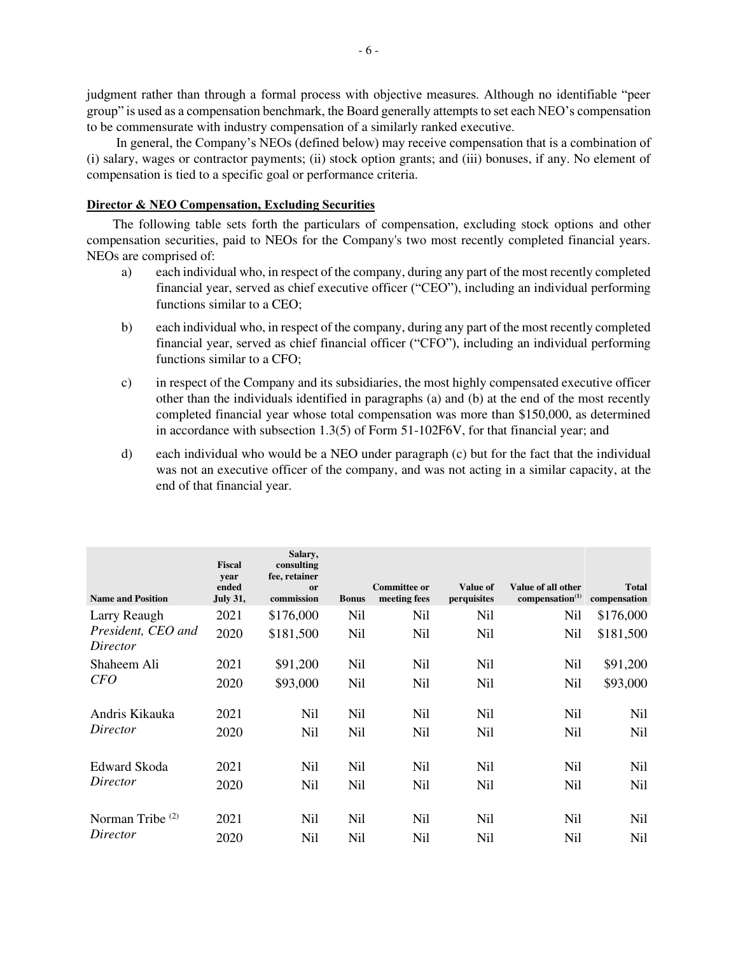judgment rather than through a formal process with objective measures. Although no identifiable "peer group" is used as a compensation benchmark, the Board generally attempts to set each NEO's compensation to be commensurate with industry compensation of a similarly ranked executive.

In general, the Company's NEOs (defined below) may receive compensation that is a combination of (i) salary, wages or contractor payments; (ii) stock option grants; and (iii) bonuses, if any. No element of compensation is tied to a specific goal or performance criteria.

# **Director & NEO Compensation, Excluding Securities**

The following table sets forth the particulars of compensation, excluding stock options and other compensation securities, paid to NEOs for the Company's two most recently completed financial years. NEOs are comprised of:

- a) each individual who, in respect of the company, during any part of the most recently completed financial year, served as chief executive officer ("CEO"), including an individual performing functions similar to a CEO;
- b) each individual who, in respect of the company, during any part of the most recently completed financial year, served as chief financial officer ("CFO"), including an individual performing functions similar to a CFO;
- c) in respect of the Company and its subsidiaries, the most highly compensated executive officer other than the individuals identified in paragraphs (a) and (b) at the end of the most recently completed financial year whose total compensation was more than \$150,000, as determined in accordance with subsection 1.3(5) of Form 51-102F6V, for that financial year; and
- d) each individual who would be a NEO under paragraph (c) but for the fact that the individual was not an executive officer of the company, and was not acting in a similar capacity, at the end of that financial year.

| <b>Name and Position</b>       | <b>Fiscal</b><br>year<br>ended<br><b>July 31,</b> | Salary,<br>consulting<br>fee, retainer<br>or<br>commission | <b>Bonus</b> | <b>Committee or</b><br>meeting fees | <b>Value of</b><br>perquisites | Value of all other<br>compensation $(1)$ | <b>Total</b><br>compensation |
|--------------------------------|---------------------------------------------------|------------------------------------------------------------|--------------|-------------------------------------|--------------------------------|------------------------------------------|------------------------------|
| Larry Reaugh                   | 2021                                              | \$176,000                                                  | Nil          | Nil                                 | Nil                            | Nil                                      | \$176,000                    |
| President, CEO and<br>Director | 2020                                              | \$181,500                                                  | Nil          | Nil                                 | Nil                            | Nil                                      | \$181,500                    |
| Shaheem Ali                    | 2021                                              | \$91,200                                                   | Nil          | Nil                                 | Nil                            | Nil                                      | \$91,200                     |
| <b>CFO</b>                     | 2020                                              | \$93,000                                                   | Nil          | Nil                                 | Nil                            | Nil                                      | \$93,000                     |
| Andris Kikauka                 | 2021                                              | Nil                                                        | Nil          | Nil                                 | Nil                            | Nil                                      | Nil                          |
| Director                       | 2020                                              | Nil                                                        | Nil          | Nil                                 | Nil                            | Nil                                      | Nil                          |
| Edward Skoda                   | 2021                                              | Nil                                                        | Nil          | Nil                                 | Nil                            | Nil                                      | Nil                          |
| Director                       | 2020                                              | Nil                                                        | Nil          | Nil                                 | Nil                            | Nil                                      | Nil                          |
| Norman Tribe $(2)$             | 2021                                              | Nil                                                        | Nil          | Nil                                 | Nil                            | Nil                                      | Nil                          |
| Director                       | 2020                                              | Nil                                                        | Nil          | Nil                                 | Nil                            | Nil                                      | Nil                          |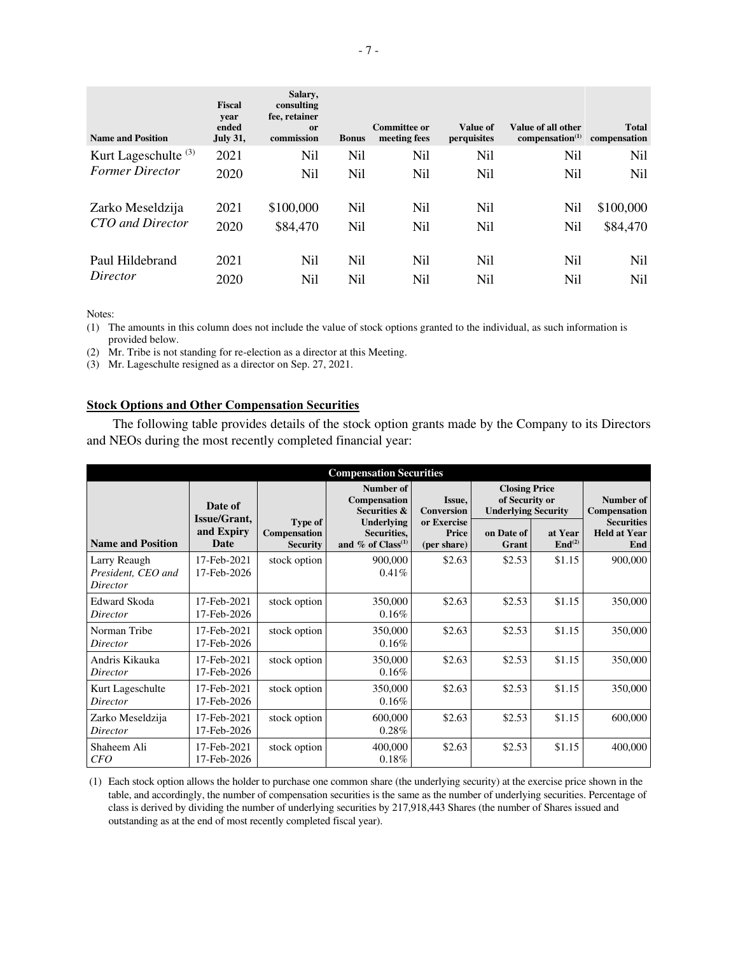| <b>Name and Position</b>        | <b>Fiscal</b><br>year<br>ended<br><b>July 31,</b> | Salary,<br>consulting<br>fee, retainer<br><sub>or</sub><br>commission | <b>Bonus</b> | Committee or<br>meeting fees | Value of<br>perquisites | Value of all other<br>compensation <sup>(1)</sup> | <b>Total</b><br>compensation |
|---------------------------------|---------------------------------------------------|-----------------------------------------------------------------------|--------------|------------------------------|-------------------------|---------------------------------------------------|------------------------------|
| Kurt Lageschulte <sup>(3)</sup> | 2021                                              | Nil                                                                   | Nil          | <b>Nil</b>                   | Nil                     | <b>Nil</b>                                        | Nil                          |
| <b>Former Director</b>          | 2020                                              | Nil                                                                   | Nil          | Nil                          | N <sub>il</sub>         | Nil                                               | Nil                          |
| Zarko Meseldzija                | 2021                                              | \$100,000                                                             | Nil          | Nil                          | Nil                     | <b>Nil</b>                                        | \$100,000                    |
| CTO and Director                | 2020                                              | \$84,470                                                              | Nil          | Nil                          | Nil                     | Nil                                               | \$84,470                     |
| Paul Hildebrand                 | 2021                                              | Nil                                                                   | Nil          | Nil                          | N <sub>i</sub>          | Nil                                               | Nil                          |
| Director                        | 2020                                              | Nil                                                                   | Nil          | Nil                          | Nil                     | Nil                                               | Nil                          |

Notes:

(1) The amounts in this column does not include the value of stock options granted to the individual, as such information is provided below.

(2) Mr. Tribe is not standing for re-election as a director at this Meeting.

(3) Mr. Lageschulte resigned as a director on Sep. 27, 2021.

# **Stock Options and Other Compensation Securities**

The following table provides details of the stock option grants made by the Company to its Directors and NEOs during the most recently completed financial year:

| <b>Compensation Securities</b>                 |                            |                                            |                                                               |                                            |                                                                      |                               |                                                 |
|------------------------------------------------|----------------------------|--------------------------------------------|---------------------------------------------------------------|--------------------------------------------|----------------------------------------------------------------------|-------------------------------|-------------------------------------------------|
|                                                | Date of<br>Issue/Grant,    |                                            | Number of<br>Compensation<br><b>Securities &amp;</b>          | Issue,<br><b>Conversion</b>                | <b>Closing Price</b><br>of Security or<br><b>Underlying Security</b> |                               | Number of<br>Compensation                       |
| <b>Name and Position</b>                       | and Expiry<br>Date         | Type of<br>Compensation<br><b>Security</b> | Underlying<br>Securities,<br>and $\%$ of Class <sup>(1)</sup> | or Exercise<br><b>Price</b><br>(per share) | on Date of<br>Grant                                                  | at Year<br>End <sup>(2)</sup> | <b>Securities</b><br><b>Held at Year</b><br>End |
| Larry Reaugh<br>President, CEO and<br>Director | 17-Feb-2021<br>17-Feb-2026 | stock option                               | 900,000<br>$0.41\%$                                           | \$2.63                                     | \$2.53                                                               | \$1.15                        | 900,000                                         |
| Edward Skoda<br>Director                       | 17-Feb-2021<br>17-Feb-2026 | stock option                               | 350,000<br>0.16%                                              | \$2.63                                     | \$2.53                                                               | \$1.15                        | 350,000                                         |
| Norman Tribe<br>Director                       | 17-Feb-2021<br>17-Feb-2026 | stock option                               | 350,000<br>0.16%                                              | \$2.63                                     | \$2.53                                                               | \$1.15                        | 350,000                                         |
| Andris Kikauka<br>Director                     | 17-Feb-2021<br>17-Feb-2026 | stock option                               | 350,000<br>0.16%                                              | \$2.63                                     | \$2.53                                                               | \$1.15                        | 350,000                                         |
| Kurt Lageschulte<br>Director                   | 17-Feb-2021<br>17-Feb-2026 | stock option                               | 350,000<br>0.16%                                              | \$2.63                                     | \$2.53                                                               | \$1.15                        | 350,000                                         |
| Zarko Meseldzija<br>Director                   | 17-Feb-2021<br>17-Feb-2026 | stock option                               | 600,000<br>$0.28\%$                                           | \$2.63                                     | \$2.53                                                               | \$1.15                        | 600,000                                         |
| Shaheem Ali<br><b>CFO</b>                      | 17-Feb-2021<br>17-Feb-2026 | stock option                               | 400,000<br>0.18%                                              | \$2.63                                     | \$2.53                                                               | \$1.15                        | 400,000                                         |

 (1) Each stock option allows the holder to purchase one common share (the underlying security) at the exercise price shown in the table, and accordingly, the number of compensation securities is the same as the number of underlying securities. Percentage of class is derived by dividing the number of underlying securities by 217,918,443 Shares (the number of Shares issued and outstanding as at the end of most recently completed fiscal year).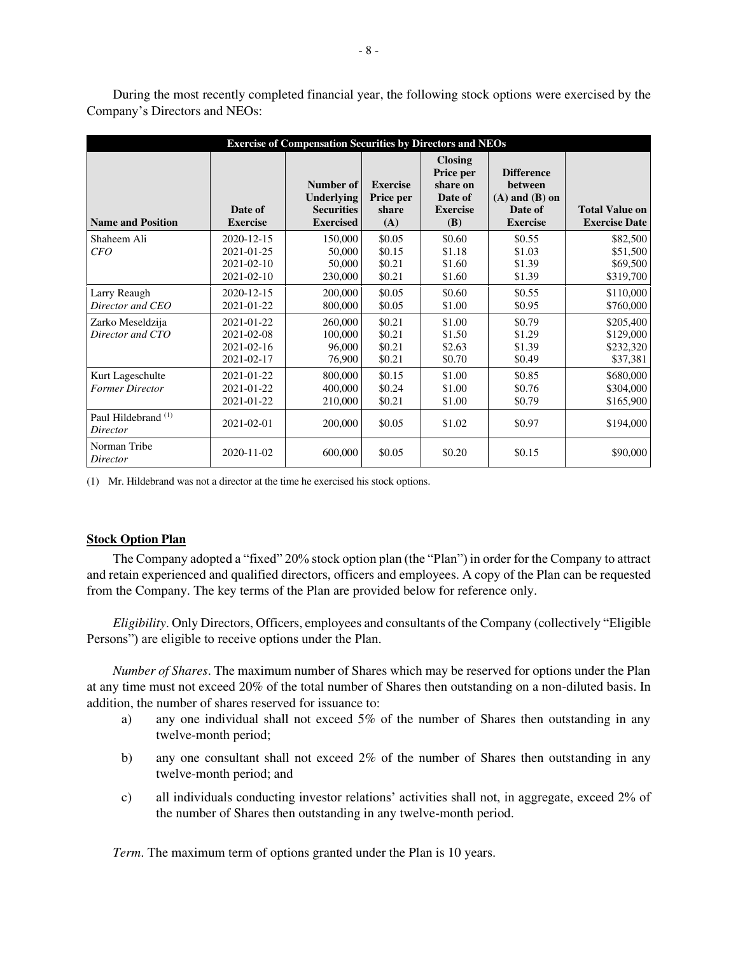|                                            |                                                      | <b>Exercise of Compensation Securities by Directors and NEOs</b>        |                                              |                                                                                     |                                                                                  |                                                 |
|--------------------------------------------|------------------------------------------------------|-------------------------------------------------------------------------|----------------------------------------------|-------------------------------------------------------------------------------------|----------------------------------------------------------------------------------|-------------------------------------------------|
| <b>Name and Position</b>                   | Date of<br><b>Exercise</b>                           | Number of<br><b>Underlying</b><br><b>Securities</b><br><b>Exercised</b> | <b>Exercise</b><br>Price per<br>share<br>(A) | <b>Closing</b><br>Price per<br>share on<br>Date of<br><b>Exercise</b><br><b>(B)</b> | <b>Difference</b><br>between<br>$(A)$ and $(B)$ on<br>Date of<br><b>Exercise</b> | <b>Total Value on</b><br><b>Exercise Date</b>   |
| Shaheem Ali<br>CFO                         | 2020-12-15<br>2021-01-25<br>2021-02-10<br>2021-02-10 | 150,000<br>50,000<br>50,000<br>230,000                                  | \$0.05<br>\$0.15<br>\$0.21<br>\$0.21         | \$0.60<br>\$1.18<br>\$1.60<br>\$1.60                                                | \$0.55<br>\$1.03<br>\$1.39<br>\$1.39                                             | \$82,500<br>\$51,500<br>\$69,500<br>\$319,700   |
| Larry Reaugh<br>Director and CEO           | 2020-12-15<br>2021-01-22                             | 200,000<br>800,000                                                      | \$0.05<br>\$0.05                             | \$0.60<br>\$1.00                                                                    | \$0.55<br>\$0.95                                                                 | \$110,000<br>\$760,000                          |
| Zarko Meseldzija<br>Director and CTO       | 2021-01-22<br>2021-02-08<br>2021-02-16<br>2021-02-17 | 260,000<br>100,000<br>96,000<br>76,900                                  | \$0.21<br>\$0.21<br>\$0.21<br>\$0.21         | \$1.00<br>\$1.50<br>\$2.63<br>\$0.70                                                | \$0.79<br>\$1.29<br>\$1.39<br>\$0.49                                             | \$205,400<br>\$129,000<br>\$232,320<br>\$37,381 |
| Kurt Lageschulte<br><b>Former Director</b> | 2021-01-22<br>2021-01-22<br>2021-01-22               | 800,000<br>400,000<br>210,000                                           | \$0.15<br>\$0.24<br>\$0.21                   | \$1.00<br>\$1.00<br>\$1.00                                                          | \$0.85<br>\$0.76<br>\$0.79                                                       | \$680,000<br>\$304,000<br>\$165,900             |
| Paul Hildebrand <sup>(1)</sup><br>Director | 2021-02-01                                           | 200,000                                                                 | \$0.05                                       | \$1.02                                                                              | \$0.97                                                                           | \$194,000                                       |
| Norman Tribe<br>Director                   | 2020-11-02                                           | 600,000                                                                 | \$0.05                                       | \$0.20                                                                              | \$0.15                                                                           | \$90,000                                        |

During the most recently completed financial year, the following stock options were exercised by the Company's Directors and NEOs:

(1) Mr. Hildebrand was not a director at the time he exercised his stock options.

#### **Stock Option Plan**

The Company adopted a "fixed" 20% stock option plan (the "Plan") in order for the Company to attract and retain experienced and qualified directors, officers and employees. A copy of the Plan can be requested from the Company. The key terms of the Plan are provided below for reference only.

*Eligibility*. Only Directors, Officers, employees and consultants of the Company (collectively "Eligible Persons") are eligible to receive options under the Plan.

*Number of Shares*. The maximum number of Shares which may be reserved for options under the Plan at any time must not exceed 20% of the total number of Shares then outstanding on a non-diluted basis. In addition, the number of shares reserved for issuance to:

- a) any one individual shall not exceed 5% of the number of Shares then outstanding in any twelve-month period;
- b) any one consultant shall not exceed 2% of the number of Shares then outstanding in any twelve-month period; and
- c) all individuals conducting investor relations' activities shall not, in aggregate, exceed 2% of the number of Shares then outstanding in any twelve-month period.

*Term*. The maximum term of options granted under the Plan is 10 years.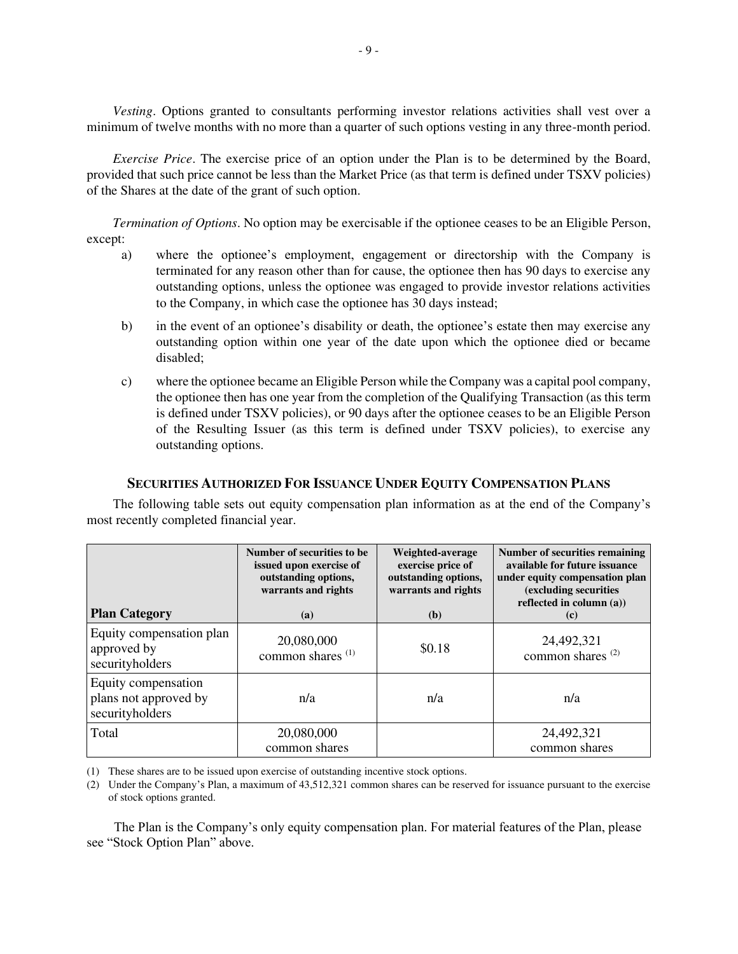*Vesting*. Options granted to consultants performing investor relations activities shall vest over a minimum of twelve months with no more than a quarter of such options vesting in any three-month period.

*Exercise Price*. The exercise price of an option under the Plan is to be determined by the Board, provided that such price cannot be less than the Market Price (as that term is defined under TSXV policies) of the Shares at the date of the grant of such option.

*Termination of Options*. No option may be exercisable if the optionee ceases to be an Eligible Person, except:

- a) where the optionee's employment, engagement or directorship with the Company is terminated for any reason other than for cause, the optionee then has 90 days to exercise any outstanding options, unless the optionee was engaged to provide investor relations activities to the Company, in which case the optionee has 30 days instead;
- b) in the event of an optionee's disability or death, the optionee's estate then may exercise any outstanding option within one year of the date upon which the optionee died or became disabled;
- c) where the optionee became an Eligible Person while the Company was a capital pool company, the optionee then has one year from the completion of the Qualifying Transaction (as this term is defined under TSXV policies), or 90 days after the optionee ceases to be an Eligible Person of the Resulting Issuer (as this term is defined under TSXV policies), to exercise any outstanding options.

# **SECURITIES AUTHORIZED FOR ISSUANCE UNDER EQUITY COMPENSATION PLANS**

The following table sets out equity compensation plan information as at the end of the Company's most recently completed financial year.

| <b>Plan Category</b>                                            | Number of securities to be<br>issued upon exercise of<br>outstanding options,<br>warrants and rights<br>(a) | Weighted-average<br>exercise price of<br>outstanding options,<br>warrants and rights<br>(b) | <b>Number of securities remaining</b><br>available for future issuance<br>under equity compensation plan<br>(excluding securities<br>reflected in column (a))<br>(c) |
|-----------------------------------------------------------------|-------------------------------------------------------------------------------------------------------------|---------------------------------------------------------------------------------------------|----------------------------------------------------------------------------------------------------------------------------------------------------------------------|
| Equity compensation plan<br>approved by<br>securityholders      | 20,080,000<br>common shares <sup>(1)</sup>                                                                  | \$0.18                                                                                      | 24,492,321<br>common shares <sup>(2)</sup>                                                                                                                           |
| Equity compensation<br>plans not approved by<br>securityholders | n/a                                                                                                         | n/a                                                                                         | n/a                                                                                                                                                                  |
| Total                                                           | 20,080,000<br>common shares                                                                                 |                                                                                             | 24,492,321<br>common shares                                                                                                                                          |

(1) These shares are to be issued upon exercise of outstanding incentive stock options.

(2) Under the Company's Plan, a maximum of 43,512,321 common shares can be reserved for issuance pursuant to the exercise of stock options granted.

The Plan is the Company's only equity compensation plan. For material features of the Plan, please see "Stock Option Plan" above.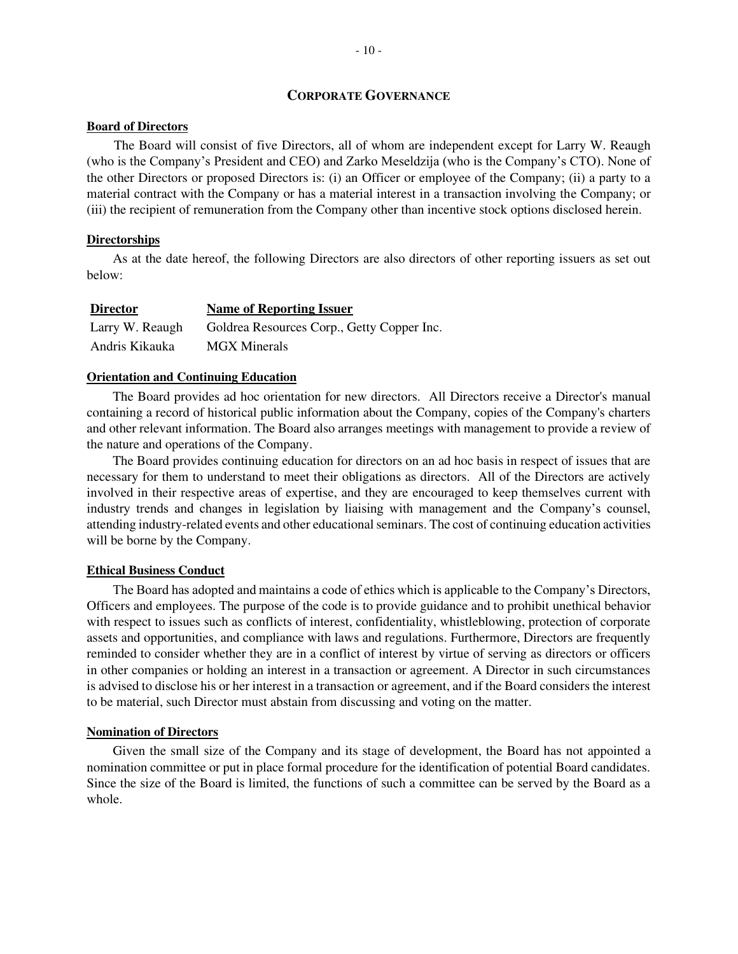# **CORPORATE GOVERNANCE**

### **Board of Directors**

The Board will consist of five Directors, all of whom are independent except for Larry W. Reaugh (who is the Company's President and CEO) and Zarko Meseldzija (who is the Company's CTO). None of the other Directors or proposed Directors is: (i) an Officer or employee of the Company; (ii) a party to a material contract with the Company or has a material interest in a transaction involving the Company; or (iii) the recipient of remuneration from the Company other than incentive stock options disclosed herein.

### **Directorships**

As at the date hereof, the following Directors are also directors of other reporting issuers as set out below:

| <b>Director</b> | <b>Name of Reporting Issuer</b>            |
|-----------------|--------------------------------------------|
| Larry W. Reaugh | Goldrea Resources Corp., Getty Copper Inc. |
| Andris Kikauka  | <b>MGX</b> Minerals                        |

### **Orientation and Continuing Education**

The Board provides ad hoc orientation for new directors. All Directors receive a Director's manual containing a record of historical public information about the Company, copies of the Company's charters and other relevant information. The Board also arranges meetings with management to provide a review of the nature and operations of the Company.

The Board provides continuing education for directors on an ad hoc basis in respect of issues that are necessary for them to understand to meet their obligations as directors. All of the Directors are actively involved in their respective areas of expertise, and they are encouraged to keep themselves current with industry trends and changes in legislation by liaising with management and the Company's counsel, attending industry-related events and other educational seminars. The cost of continuing education activities will be borne by the Company.

### **Ethical Business Conduct**

The Board has adopted and maintains a code of ethics which is applicable to the Company's Directors, Officers and employees. The purpose of the code is to provide guidance and to prohibit unethical behavior with respect to issues such as conflicts of interest, confidentiality, whistleblowing, protection of corporate assets and opportunities, and compliance with laws and regulations. Furthermore, Directors are frequently reminded to consider whether they are in a conflict of interest by virtue of serving as directors or officers in other companies or holding an interest in a transaction or agreement. A Director in such circumstances is advised to disclose his or her interest in a transaction or agreement, and if the Board considers the interest to be material, such Director must abstain from discussing and voting on the matter.

#### **Nomination of Directors**

Given the small size of the Company and its stage of development, the Board has not appointed a nomination committee or put in place formal procedure for the identification of potential Board candidates. Since the size of the Board is limited, the functions of such a committee can be served by the Board as a whole.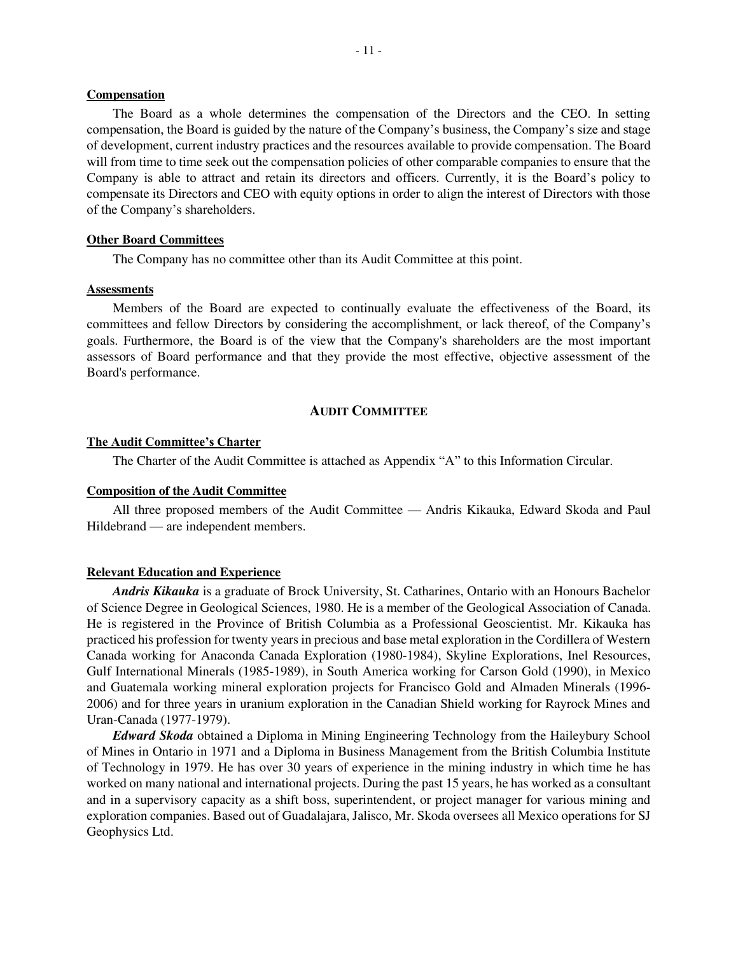# **Compensation**

The Board as a whole determines the compensation of the Directors and the CEO. In setting compensation, the Board is guided by the nature of the Company's business, the Company's size and stage of development, current industry practices and the resources available to provide compensation. The Board will from time to time seek out the compensation policies of other comparable companies to ensure that the Company is able to attract and retain its directors and officers. Currently, it is the Board's policy to compensate its Directors and CEO with equity options in order to align the interest of Directors with those of the Company's shareholders.

### **Other Board Committees**

The Company has no committee other than its Audit Committee at this point.

#### **Assessments**

Members of the Board are expected to continually evaluate the effectiveness of the Board, its committees and fellow Directors by considering the accomplishment, or lack thereof, of the Company's goals. Furthermore, the Board is of the view that the Company's shareholders are the most important assessors of Board performance and that they provide the most effective, objective assessment of the Board's performance.

# **AUDIT COMMITTEE**

#### **The Audit Committee's Charter**

The Charter of the Audit Committee is attached as Appendix "A" to this Information Circular.

### **Composition of the Audit Committee**

All three proposed members of the Audit Committee — Andris Kikauka, Edward Skoda and Paul Hildebrand — are independent members.

#### **Relevant Education and Experience**

*Andris Kikauka* is a graduate of Brock University, St. Catharines, Ontario with an Honours Bachelor of Science Degree in Geological Sciences, 1980. He is a member of the Geological Association of Canada. He is registered in the Province of British Columbia as a Professional Geoscientist. Mr. Kikauka has practiced his profession for twenty years in precious and base metal exploration in the Cordillera of Western Canada working for Anaconda Canada Exploration (1980-1984), Skyline Explorations, Inel Resources, Gulf International Minerals (1985-1989), in South America working for Carson Gold (1990), in Mexico and Guatemala working mineral exploration projects for Francisco Gold and Almaden Minerals (1996- 2006) and for three years in uranium exploration in the Canadian Shield working for Rayrock Mines and Uran-Canada (1977-1979).

*Edward Skoda* obtained a Diploma in Mining Engineering Technology from the Haileybury School of Mines in Ontario in 1971 and a Diploma in Business Management from the British Columbia Institute of Technology in 1979. He has over 30 years of experience in the mining industry in which time he has worked on many national and international projects. During the past 15 years, he has worked as a consultant and in a supervisory capacity as a shift boss, superintendent, or project manager for various mining and exploration companies. Based out of Guadalajara, Jalisco, Mr. Skoda oversees all Mexico operations for SJ Geophysics Ltd.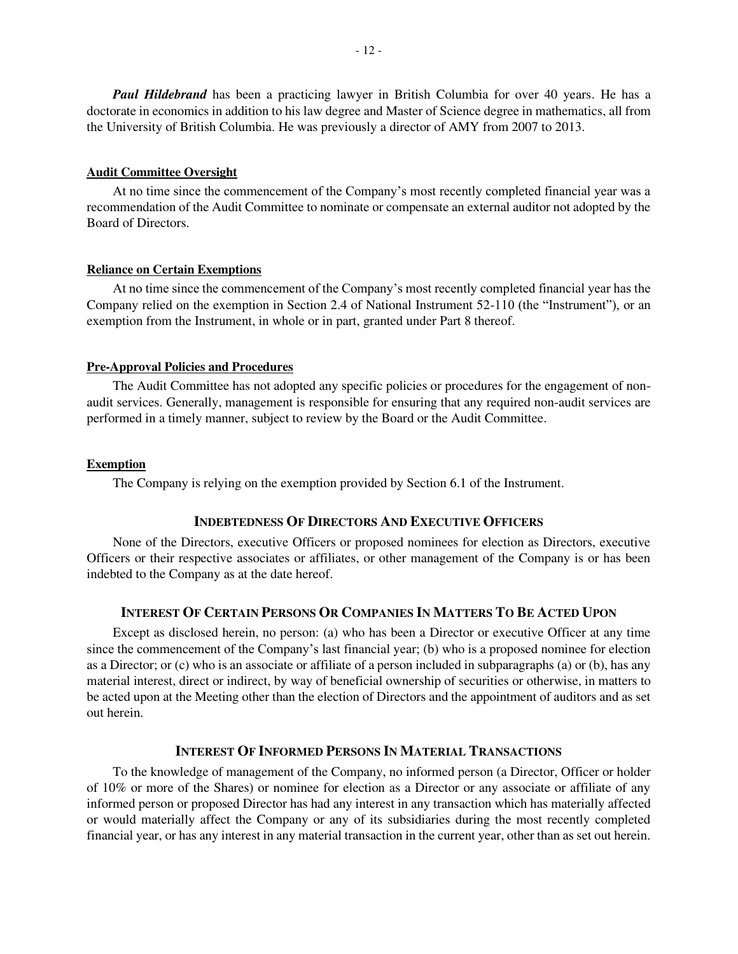*Paul Hildebrand* has been a practicing lawyer in British Columbia for over 40 years. He has a doctorate in economics in addition to his law degree and Master of Science degree in mathematics, all from the University of British Columbia. He was previously a director of AMY from 2007 to 2013.

### **Audit Committee Oversight**

At no time since the commencement of the Company's most recently completed financial year was a recommendation of the Audit Committee to nominate or compensate an external auditor not adopted by the Board of Directors.

#### **Reliance on Certain Exemptions**

At no time since the commencement of the Company's most recently completed financial year has the Company relied on the exemption in Section 2.4 of National Instrument 52-110 (the "Instrument"), or an exemption from the Instrument, in whole or in part, granted under Part 8 thereof.

### **Pre-Approval Policies and Procedures**

The Audit Committee has not adopted any specific policies or procedures for the engagement of nonaudit services. Generally, management is responsible for ensuring that any required non-audit services are performed in a timely manner, subject to review by the Board or the Audit Committee.

#### **Exemption**

The Company is relying on the exemption provided by Section 6.1 of the Instrument.

# **INDEBTEDNESS OF DIRECTORS AND EXECUTIVE OFFICERS**

None of the Directors, executive Officers or proposed nominees for election as Directors, executive Officers or their respective associates or affiliates, or other management of the Company is or has been indebted to the Company as at the date hereof.

# **INTEREST OF CERTAIN PERSONS OR COMPANIES IN MATTERS TO BE ACTED UPON**

Except as disclosed herein, no person: (a) who has been a Director or executive Officer at any time since the commencement of the Company's last financial year; (b) who is a proposed nominee for election as a Director; or (c) who is an associate or affiliate of a person included in subparagraphs (a) or (b), has any material interest, direct or indirect, by way of beneficial ownership of securities or otherwise, in matters to be acted upon at the Meeting other than the election of Directors and the appointment of auditors and as set out herein.

# **INTEREST OF INFORMED PERSONS IN MATERIAL TRANSACTIONS**

To the knowledge of management of the Company, no informed person (a Director, Officer or holder of 10% or more of the Shares) or nominee for election as a Director or any associate or affiliate of any informed person or proposed Director has had any interest in any transaction which has materially affected or would materially affect the Company or any of its subsidiaries during the most recently completed financial year, or has any interest in any material transaction in the current year, other than as set out herein.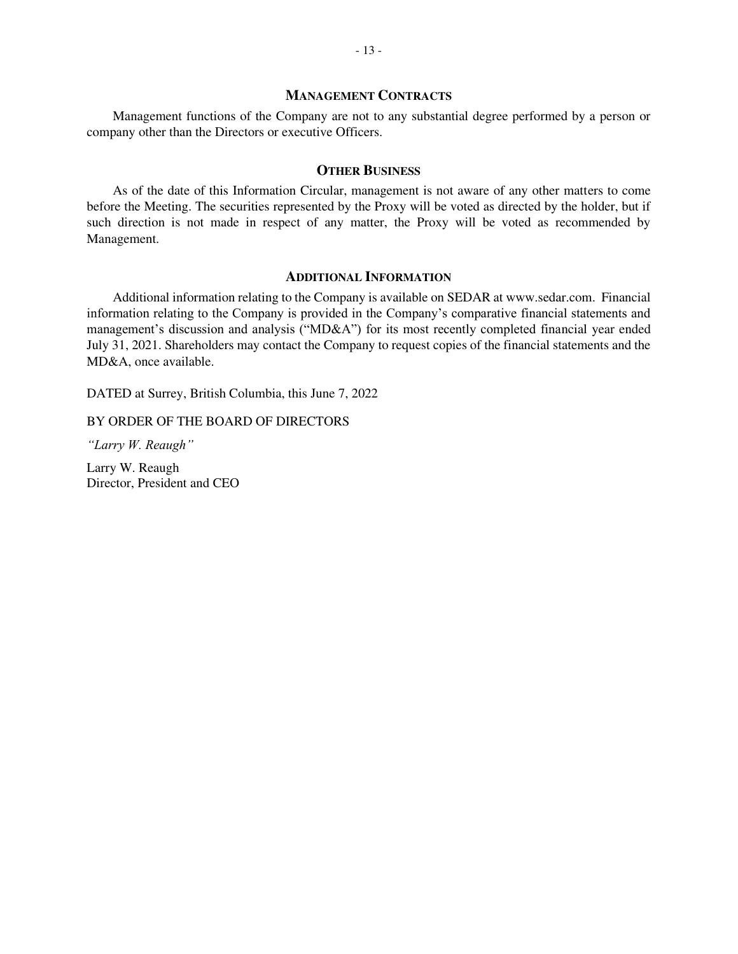### **MANAGEMENT CONTRACTS**

Management functions of the Company are not to any substantial degree performed by a person or company other than the Directors or executive Officers.

### **OTHER BUSINESS**

As of the date of this Information Circular, management is not aware of any other matters to come before the Meeting. The securities represented by the Proxy will be voted as directed by the holder, but if such direction is not made in respect of any matter, the Proxy will be voted as recommended by Management.

# **ADDITIONAL INFORMATION**

Additional information relating to the Company is available on SEDAR at www.sedar.com. Financial information relating to the Company is provided in the Company's comparative financial statements and management's discussion and analysis ("MD&A") for its most recently completed financial year ended July 31, 2021. Shareholders may contact the Company to request copies of the financial statements and the MD&A, once available.

DATED at Surrey, British Columbia, this June 7, 2022

BY ORDER OF THE BOARD OF DIRECTORS

*"Larry W. Reaugh"*

Larry W. Reaugh Director, President and CEO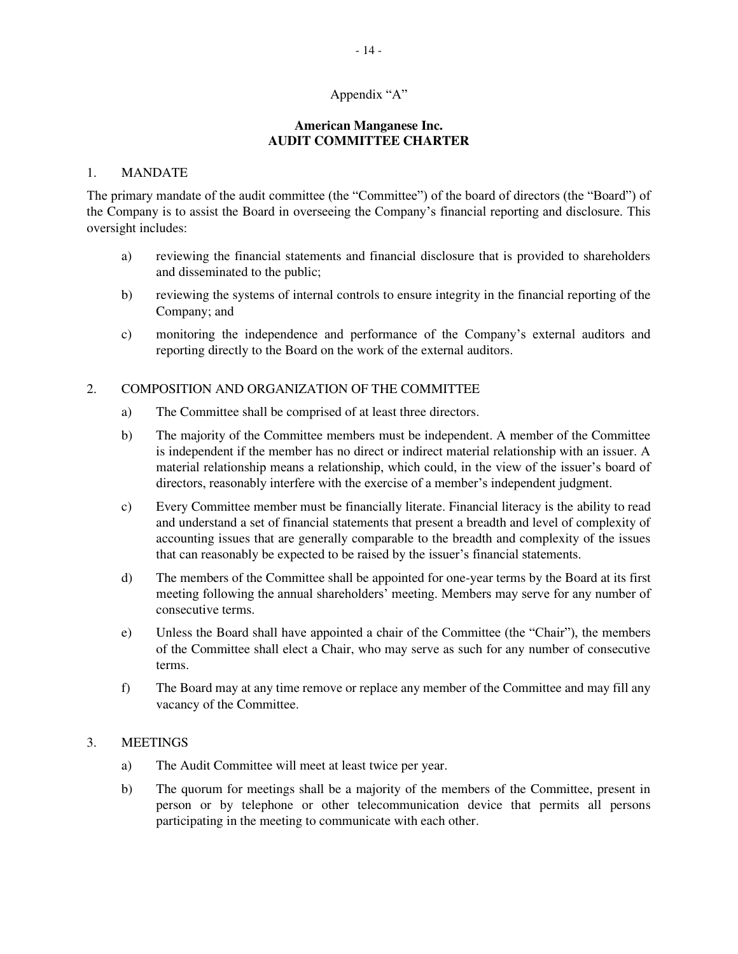# Appendix "A"

# **American Manganese Inc. AUDIT COMMITTEE CHARTER**

# 1. MANDATE

The primary mandate of the audit committee (the "Committee") of the board of directors (the "Board") of the Company is to assist the Board in overseeing the Company's financial reporting and disclosure. This oversight includes:

- a) reviewing the financial statements and financial disclosure that is provided to shareholders and disseminated to the public;
- b) reviewing the systems of internal controls to ensure integrity in the financial reporting of the Company; and
- c) monitoring the independence and performance of the Company's external auditors and reporting directly to the Board on the work of the external auditors.

# 2. COMPOSITION AND ORGANIZATION OF THE COMMITTEE

- a) The Committee shall be comprised of at least three directors.
- b) The majority of the Committee members must be independent. A member of the Committee is independent if the member has no direct or indirect material relationship with an issuer. A material relationship means a relationship, which could, in the view of the issuer's board of directors, reasonably interfere with the exercise of a member's independent judgment.
- c) Every Committee member must be financially literate. Financial literacy is the ability to read and understand a set of financial statements that present a breadth and level of complexity of accounting issues that are generally comparable to the breadth and complexity of the issues that can reasonably be expected to be raised by the issuer's financial statements.
- d) The members of the Committee shall be appointed for one-year terms by the Board at its first meeting following the annual shareholders' meeting. Members may serve for any number of consecutive terms.
- e) Unless the Board shall have appointed a chair of the Committee (the "Chair"), the members of the Committee shall elect a Chair, who may serve as such for any number of consecutive terms.
- f) The Board may at any time remove or replace any member of the Committee and may fill any vacancy of the Committee.

# 3. MEETINGS

- a) The Audit Committee will meet at least twice per year.
- b) The quorum for meetings shall be a majority of the members of the Committee, present in person or by telephone or other telecommunication device that permits all persons participating in the meeting to communicate with each other.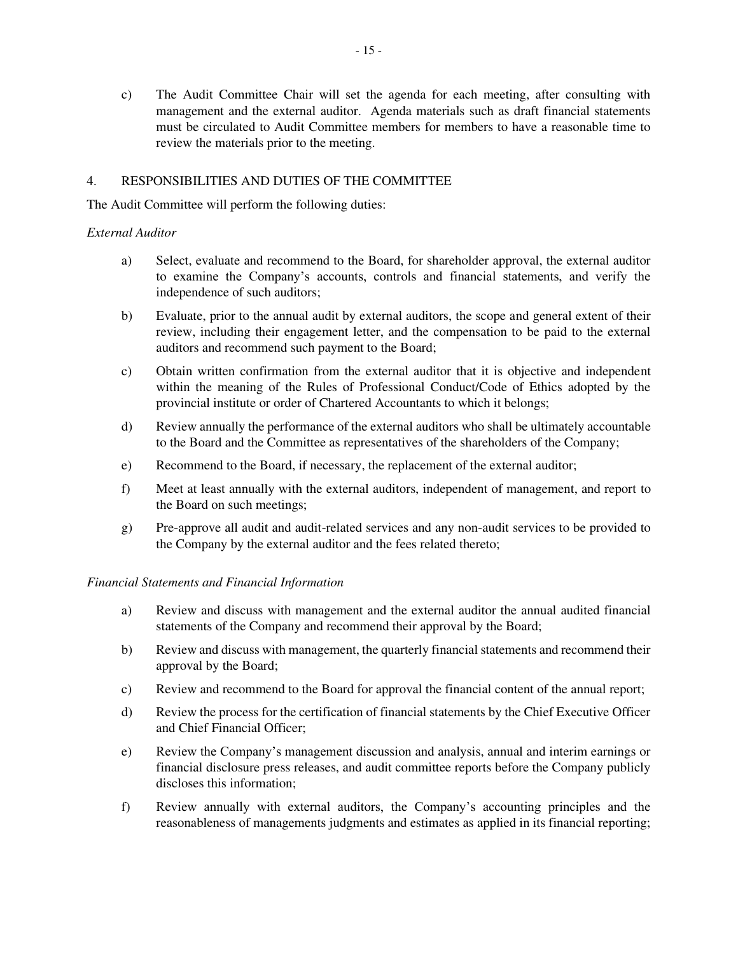c) The Audit Committee Chair will set the agenda for each meeting, after consulting with management and the external auditor. Agenda materials such as draft financial statements must be circulated to Audit Committee members for members to have a reasonable time to review the materials prior to the meeting.

# 4. RESPONSIBILITIES AND DUTIES OF THE COMMITTEE

The Audit Committee will perform the following duties:

# *External Auditor*

- a) Select, evaluate and recommend to the Board, for shareholder approval, the external auditor to examine the Company's accounts, controls and financial statements, and verify the independence of such auditors;
- b) Evaluate, prior to the annual audit by external auditors, the scope and general extent of their review, including their engagement letter, and the compensation to be paid to the external auditors and recommend such payment to the Board;
- c) Obtain written confirmation from the external auditor that it is objective and independent within the meaning of the Rules of Professional Conduct/Code of Ethics adopted by the provincial institute or order of Chartered Accountants to which it belongs;
- d) Review annually the performance of the external auditors who shall be ultimately accountable to the Board and the Committee as representatives of the shareholders of the Company;
- e) Recommend to the Board, if necessary, the replacement of the external auditor;
- f) Meet at least annually with the external auditors, independent of management, and report to the Board on such meetings;
- g) Pre-approve all audit and audit-related services and any non-audit services to be provided to the Company by the external auditor and the fees related thereto;

# *Financial Statements and Financial Information*

- a) Review and discuss with management and the external auditor the annual audited financial statements of the Company and recommend their approval by the Board;
- b) Review and discuss with management, the quarterly financial statements and recommend their approval by the Board;
- c) Review and recommend to the Board for approval the financial content of the annual report;
- d) Review the process for the certification of financial statements by the Chief Executive Officer and Chief Financial Officer;
- e) Review the Company's management discussion and analysis, annual and interim earnings or financial disclosure press releases, and audit committee reports before the Company publicly discloses this information;
- f) Review annually with external auditors, the Company's accounting principles and the reasonableness of managements judgments and estimates as applied in its financial reporting;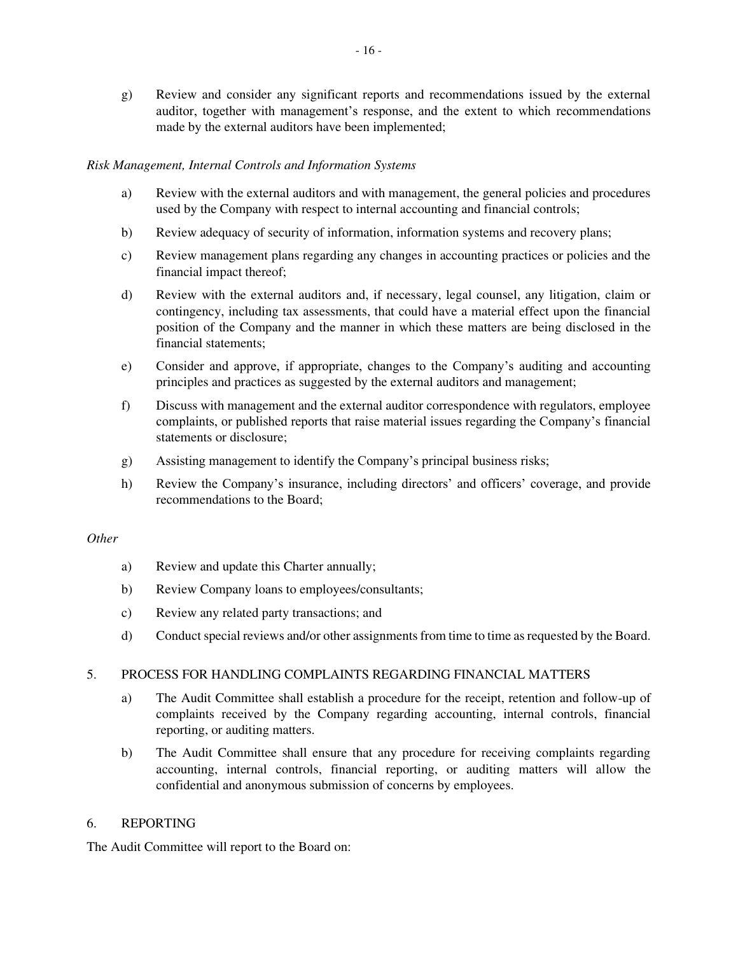g) Review and consider any significant reports and recommendations issued by the external auditor, together with management's response, and the extent to which recommendations made by the external auditors have been implemented;

# *Risk Management, Internal Controls and Information Systems*

- a) Review with the external auditors and with management, the general policies and procedures used by the Company with respect to internal accounting and financial controls;
- b) Review adequacy of security of information, information systems and recovery plans;
- c) Review management plans regarding any changes in accounting practices or policies and the financial impact thereof;
- d) Review with the external auditors and, if necessary, legal counsel, any litigation, claim or contingency, including tax assessments, that could have a material effect upon the financial position of the Company and the manner in which these matters are being disclosed in the financial statements;
- e) Consider and approve, if appropriate, changes to the Company's auditing and accounting principles and practices as suggested by the external auditors and management;
- f) Discuss with management and the external auditor correspondence with regulators, employee complaints, or published reports that raise material issues regarding the Company's financial statements or disclosure;
- g) Assisting management to identify the Company's principal business risks;
- h) Review the Company's insurance, including directors' and officers' coverage, and provide recommendations to the Board;

# *Other*

- a) Review and update this Charter annually;
- b) Review Company loans to employees/consultants;
- c) Review any related party transactions; and
- d) Conduct special reviews and/or other assignments from time to time as requested by the Board.

# 5. PROCESS FOR HANDLING COMPLAINTS REGARDING FINANCIAL MATTERS

- a) The Audit Committee shall establish a procedure for the receipt, retention and follow-up of complaints received by the Company regarding accounting, internal controls, financial reporting, or auditing matters.
- b) The Audit Committee shall ensure that any procedure for receiving complaints regarding accounting, internal controls, financial reporting, or auditing matters will allow the confidential and anonymous submission of concerns by employees.

# 6. REPORTING

The Audit Committee will report to the Board on: